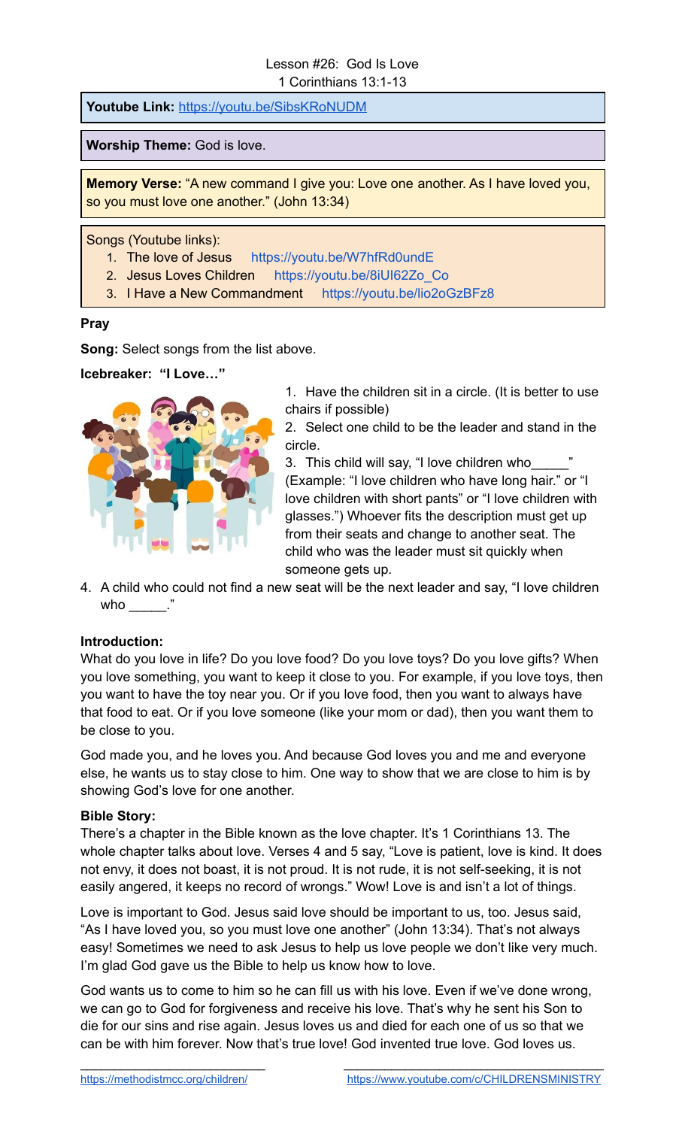# Lesson #26: God Is Love 1 Corinthians 13:1-13

**Youtube Link:** <https://youtu.be/SibsKRoNUDM>

**Worship Theme:** God is love.

**Memory Verse:** "A new command I give you: Love one another. As I have loved you, so you must love one another." (John 13:34)

Songs (Youtube links):

- 1. The love of Jesus <https://youtu.be/W7hfRd0undE>
- 2. Jesus Loves Children [https://youtu.be/8iUI62Zo\\_Co](https://youtu.be/8iUI62Zo_Co)
- 3. I Have a New Commandment <https://youtu.be/lio2oGzBFz8>

#### **Pray**

**Song:** Select songs from the list above.

**Icebreaker: "I Love…"**



1. Have the children sit in a circle. (It is better to use chairs if possible)

2. Select one child to be the leader and stand in the circle.

3. This child will say, "I love children who (Example: "I love children who have long hair." or "I love children with short pants" or "I love children with glasses.") Whoever fits the description must get up from their seats and change to another seat. The child who was the leader must sit quickly when someone gets up.

4. A child who could not find a new seat will be the next leader and say, "I love children who  $\blacksquare$ 

# **Introduction:**

What do you love in life? Do you love food? Do you love toys? Do you love gifts? When you love something, you want to keep it close to you. For example, if you love toys, then you want to have the toy near you. Or if you love food, then you want to always have that food to eat. Or if you love someone (like your mom or dad), then you want them to be close to you.

God made you, and he loves you. And because God loves you and me and everyone else, he wants us to stay close to him. One way to show that we are close to him is by showing God's love for one another.

#### **Bible Story:**

There's a chapter in the Bible known as the love chapter. It's 1 Corinthians 13. The whole chapter talks about love. Verses 4 and 5 say, "Love is patient, love is kind. It does not envy, it does not boast, it is not proud. It is not rude, it is not self-seeking, it is not easily angered, it keeps no record of wrongs." Wow! Love is and isn't a lot of things.

Love is important to God. Jesus said love should be important to us, too. Jesus said, "As I have loved you, so you must love one another" (John 13:34). That's not always easy! Sometimes we need to ask Jesus to help us love people we don't like very much. I'm glad God gave us the Bible to help us know how to love.

God wants us to come to him so he can fill us with his love. Even if we've done wrong, we can go to God for forgiveness and receive his love. That's why he sent his Son to die for our sins and rise again. Jesus loves us and died for each one of us so that we can be with him forever. Now that's true love! God invented true love. God loves us.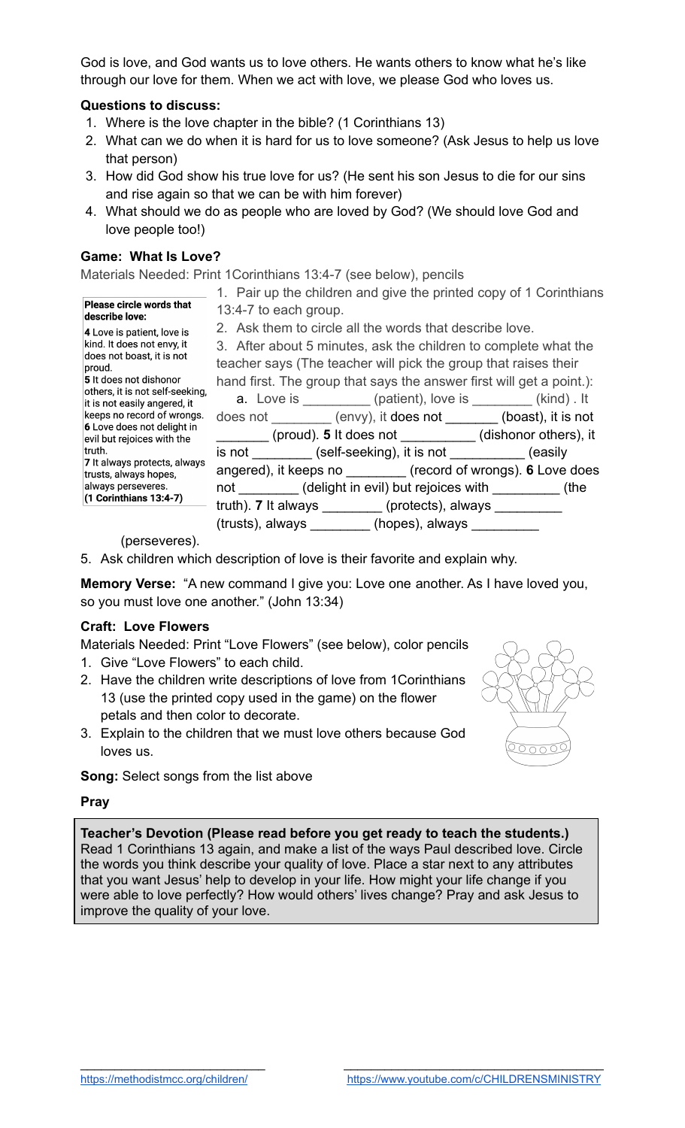God is love, and God wants us to love others. He wants others to know what he's like through our love for them. When we act with love, we please God who loves us.

# **Questions to discuss:**

- 1. Where is the love chapter in the bible? (1 Corinthians 13)
- 2. What can we do when it is hard for us to love someone? (Ask Jesus to help us love that person)
- 3. How did God show his true love for us? (He sent his son Jesus to die for our sins and rise again so that we can be with him forever)
- 4. What should we do as people who are loved by God? (We should love God and love people too!)

#### **Game: What Is Love?**

Materials Needed: Print 1Corinthians 13:4-7 (see below), pencils

|                                                                                               | 1. Pair up the children and give the printed copy of 1 Corinthians         |  |
|-----------------------------------------------------------------------------------------------|----------------------------------------------------------------------------|--|
| Please circle words that<br>describe love:                                                    | 13:4-7 to each group.                                                      |  |
| 4 Love is patient, love is                                                                    | 2. Ask them to circle all the words that describe love.                    |  |
| kind. It does not envy, it                                                                    | 3. After about 5 minutes, ask the children to complete what the            |  |
| does not boast, it is not<br>proud.                                                           | teacher says (The teacher will pick the group that raises their            |  |
| 5 It does not dishonor                                                                        | hand first. The group that says the answer first will get a point.):       |  |
| others, it is not self-seeking,<br>it is not easily angered, it<br>keeps no record of wrongs. | <b>a.</b> Love is ___________(patient), love is ________(kind). It         |  |
|                                                                                               | does not _________ (envy), it does not _______ (boast), it is not          |  |
| 6 Love does not delight in<br>evil but rejoices with the                                      | (proud). 5 It does not __________(dishonor others), it                     |  |
| ltruth.                                                                                       | is not _________ (self-seeking), it is not __________ (easily              |  |
| 7 It always protects, always<br>trusts, always hopes,                                         | angered), it keeps no _________ (record of wrongs). 6 Love does            |  |
| always perseveres.                                                                            | not (delight in evil) but rejoices with (the                               |  |
| $(1$ Corinthians 13:4-7)                                                                      | truth). 7 It always _________ (protects), always _________                 |  |
|                                                                                               | $(trusts)$ , always $\rule{1em}{0.15mm}$ (hopes), always $\rule{1.15mm}{}$ |  |
| (nonconvors)                                                                                  |                                                                            |  |

(perseveres).

5. Ask children which description of love is their favorite and explain why.

**Memory Verse:** "A new command I give you: Love one another. As I have loved you, so you must love one another." (John 13:34)

# **Craft: Love Flowers**

Materials Needed: Print "Love Flowers" (see below), color pencils

- 1. Give "Love Flowers" to each child.
- 2. Have the children write descriptions of love from 1Corinthians 13 (use the printed copy used in the game) on the flower petals and then color to decorate.
- 3. Explain to the children that we must love others because God loves us.



**Song:** Select songs from the list above

#### **Pray**

**Teacher's Devotion (Please read before you get ready to teach the students.)** Read 1 Corinthians 13 again, and make a list of the ways Paul described love. Circle the words you think describe your quality of love. Place a star next to any attributes that you want Jesus' help to develop in your life. How might your life change if you were able to love perfectly? How would others' lives change? Pray and ask Jesus to improve the quality of your love.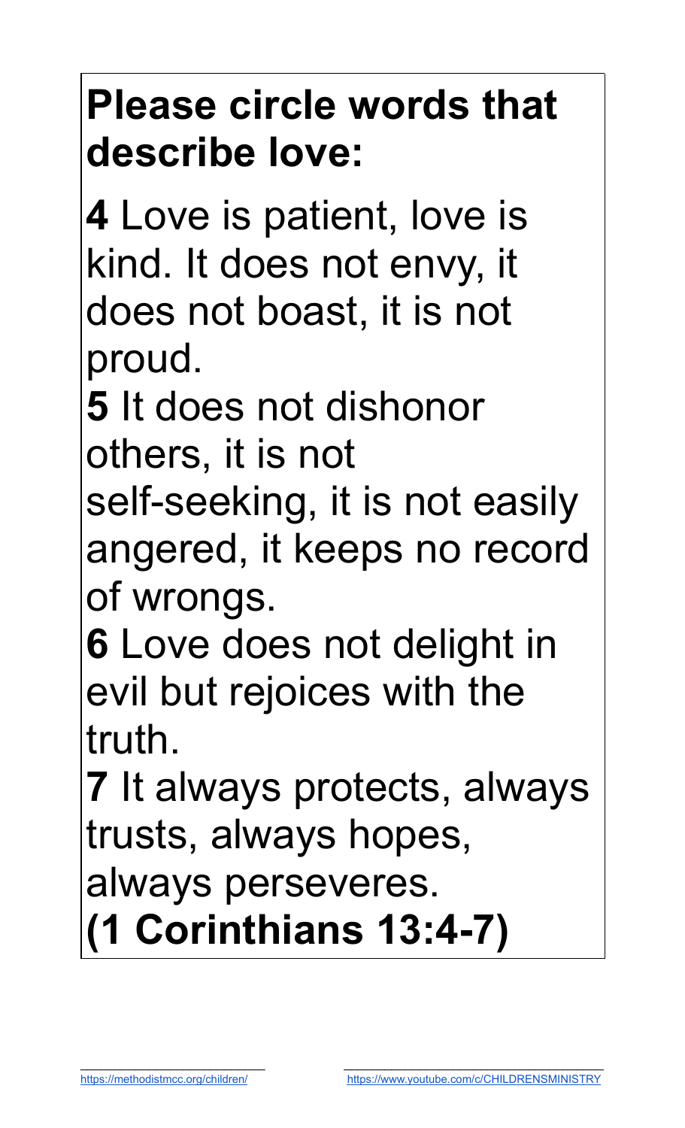# **Please circle words that describe love:**

**4** Love is patient, love is kind. It does not envy, it does not boast, it is not proud.

**5** It does not dishonor others, it is not

self-seeking, it is not easily angered, it keeps no record of wrongs.

**6** Love does not delight in evil but rejoices with the truth.

**7** It always protects, always trusts, always hopes, always perseveres. **(1 Corinthians 13:4-7)**